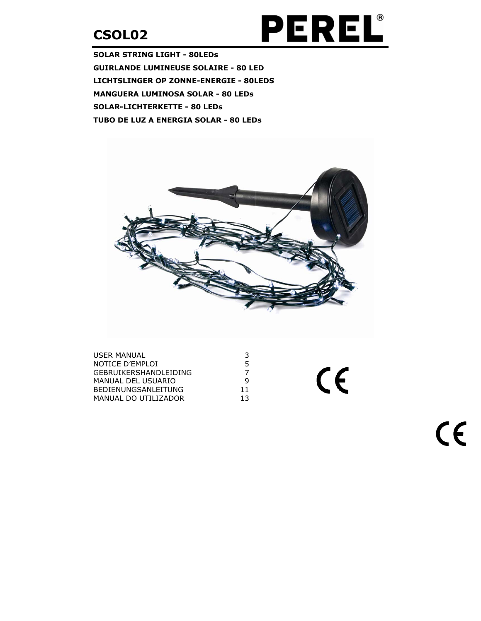

 $C \in$ 

**SOLAR STRING LIGHT - 80LEDs GUIRLANDE LUMINEUSE SOLAIRE - 80 LED LICHTSLINGER OP ZONNE-ENERGIE - 80LEDS MANGUERA LUMINOSA SOLAR - 80 LEDS SOLAR-LICHTERKETTE - 80 LEDS** TUBO DE LUZ A ENERGIA SOLAR - 80 LEDS



| <b>USER MANUAL</b>     | 3  |
|------------------------|----|
| NOTICE D'EMPLOI        | 5. |
| GEBRUIKERSHANDI FIDING |    |
| MANUAL DEL USUARIO     | q  |
| BEDIENUNGSANLEITUNG    | 11 |
| MANUAL DO UTILIZADOR   | 13 |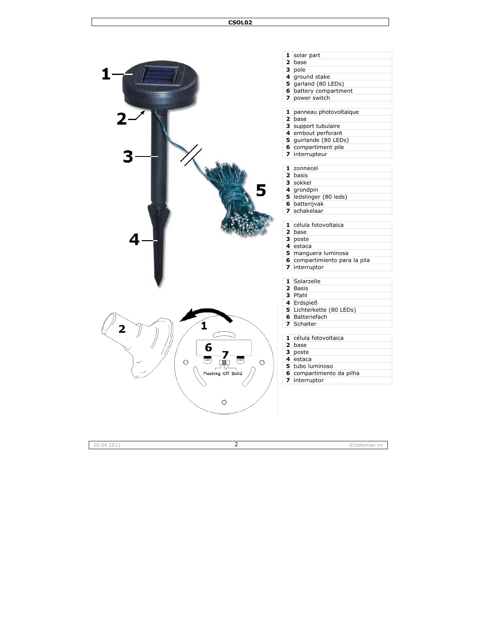

| 1                       | solar part                  |
|-------------------------|-----------------------------|
| $\overline{2}$          | base                        |
| 3                       | pole                        |
| 4                       | ground stake                |
| 5                       | garland (80 LEDs)           |
| 6                       | battery compartment         |
| 7                       | power switch                |
|                         |                             |
| 1                       | panneau photovoltaïque      |
| $\overline{2}$          | base                        |
| з                       | support tubulaire           |
| 4                       | embout perforant            |
| 5                       | quirlande (80 LEDs)         |
| 6                       | compartiment pile           |
| 7                       | interrupteur                |
|                         |                             |
| 1                       | zonnecel                    |
| $\overline{\mathbf{z}}$ | basis                       |
| з                       | sokkel                      |
| 4                       | grondpin                    |
| 5                       | ledslinger (80 leds)        |
| 6                       | batterijvak                 |
| 7                       | schakelaar                  |
|                         |                             |
| $\mathbf{1}$            | célula fotovoltaica         |
| $\overline{2}$          | base                        |
| 3                       | poste                       |
| 4                       | estaca                      |
| 5                       | manguera luminosa           |
| 6                       | compartimiento para la pila |
| 7                       | interruptor                 |
|                         | Solarzelle                  |
| 1                       |                             |
| $\overline{\mathbf{z}}$ | Basis                       |

- Pfahl
- Erdspieß
- Lichterkette (80 LEDs)
- Batteriefach
- Schalte r

célula fotovoltaica

- base
	- poste
	- estaca
	- tubo luminoso
	- compartimento da pilha
	- interrupto r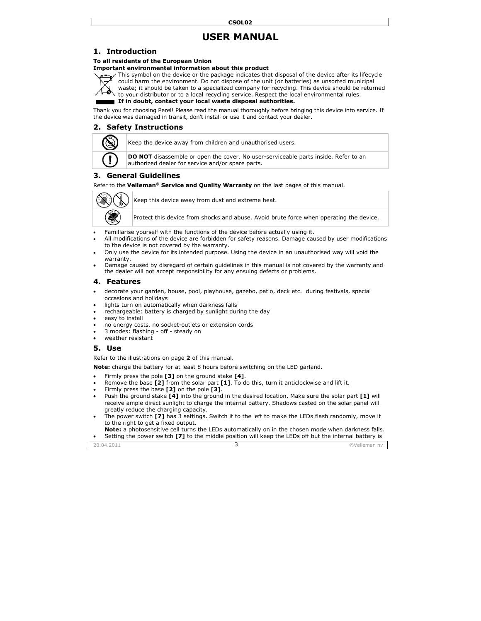# **USER MANUAL**

## 1. Introduction

#### To all residents of the European Union

#### Important environmental information about this product



This symbol on the device or the package indicates that disposal of the device after its lifecycle could harm the environment. Do not dispose of the unit (or batteries) as unsorted municipal waste; it should be taken to a specialized company for recycling. This device should be returned to your distributor or to a local recycling service. Respect the local environmental rules.

If in doubt, contact your local waste disposal authorities.

Thank you for choosing Perel! Please read the manual thoroughly before bringing this device into service. If the device was damaged in transit, don't install or use it and contact your dealer.

## 2. Safety Instructions



Keep the device away from children and unauthorised users.

DO NOT disassemble or open the cover. No user-serviceable parts inside. Refer to an authorized dealer for service and/or spare parts.

#### **General Guidelines** З.

Refer to the Velleman<sup>®</sup> Service and Quality Warranty on the last pages of this manual.



Keep this device away from dust and extreme heat.

Protect this device from shocks and abuse. Avoid brute force when operating the device.

- Familiarise yourself with the functions of the device before actually using it.  $\bullet$
- All modifications of the device are forbidden for safety reasons. Damage caused by user modifications to the device is not covered by the warranty.
- Only use the device for its intended purpose. Using the device in an unauthorised way will void the warranty.
- Damage caused by disregard of certain guidelines in this manual is not covered by the warranty and the dealer will not accept responsibility for any ensuing defects or problems.

#### 4. Features

- decorate your garden, house, pool, playhouse, gazebo, patio, deck etc. during festivals, special  $\bullet$ occasions and holidays
- lights turn on automatically when darkness falls
- rechargeable: battery is charged by sunlight during the day
- easy to install
- no energy costs, no socket-outlets or extension cords
- 3 modes: flashing off steady on
- weather resistant

#### 5. Use

Refer to the illustrations on page 2 of this manual.

Note: charge the battery for at least 8 hours before switching on the LED garland.

- Firmly press the pole [3] on the ground stake [4].
- Remove the base [2] from the solar part [1]. To do this, turn it anticlockwise and lift it.
- Firmly press the base [2] on the pole [3].
- Push the ground stake [4] into the ground in the desired location. Make sure the solar part [1] will receive ample direct sunlight to charge the internal battery. Shadows casted on the solar panel will greatly reduce the charging capacity.
- The power switch 171 has 3 settings. Switch it to the left to make the LEDs flash randomly, move it to the right to get a fixed output.

Note: a photosensitive cell turns the LEDs automatically on in the chosen mode when darkness falls. Setting the power switch [7] to the middle position will keep the LEDs off but the internal battery is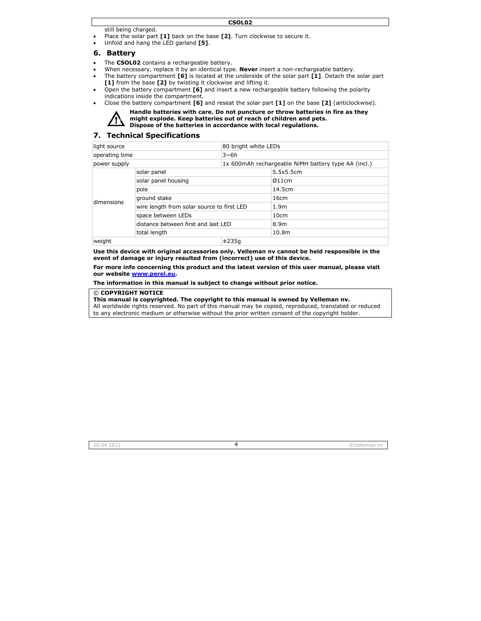still be eing charged.

- Place the solar part **[1]** back on the base **[2]**. Turn clockwise to secure it.
- Unfold d and hang the L LED garland **[5]**.

#### **6. Batt tery**

- The **C SOL02** contains a rechargeable battery.
- When necessary, replace it by an identical type. **Never** insert a non-rechargeable battery.
- The battery compartment **[6]** is located at the underside of the solar part **[1]**. Detach the solar part **[1]** from the base **[2]** by twisting it clockwise and lifting it.
- Open the battery compartment **[6]** and insert a new rechargeable battery following the polarity indications inside the compartment.
- Close the battery compartment **[6]** and reseat the solar part **[1]** on the base **[2]** (anticlockwise).



**Handle batt teries with care e. Do not punct ure or throw ba atteries in fire as they might explo ode. Keep batte eries out of reac ch of children a and pets. Dispose of the batteries in accordance with local regulations.** 

#### **7. Tec hnical Speci ifications**

| light source<br>80 bright white LEDs |                                            |       |                                                      |  |
|--------------------------------------|--------------------------------------------|-------|------------------------------------------------------|--|
| operating time<br>3~6h               |                                            |       |                                                      |  |
| power supply                         |                                            |       | 1x 600 mAh rechargeable NiMH battery type AA (incl.) |  |
| dimensions                           | solar panel                                |       | 5.5x5.5cm                                            |  |
|                                      | solar panel housing                        |       | Ø11cm                                                |  |
|                                      | pole                                       |       | 14.5cm                                               |  |
|                                      | ground stake                               |       | 16cm                                                 |  |
|                                      | wire length from solar source to first LED |       | 1.9 <sub>m</sub>                                     |  |
|                                      | space between LEDs                         |       | 10cm                                                 |  |
|                                      | distance between first and last LED        |       | 8.9m                                                 |  |
|                                      | total length                               |       | 10.8 <sub>m</sub>                                    |  |
| weight                               |                                            | ±235a |                                                      |  |

**Use this d device with ori ginal accessori ies only. Vellem man nv cannot be held respon nsible in the**  event of damage or injury resulted from (incorrect) use of this device.

For more info concerning this product and the latest version of this user manual, please visit **our webs site www.perel .eu.** 

**The infor rmation in this manual is subj ject to change w without prior n notice.** 

#### © **COPYR RIGHT NOTICE**

#### This manual is copyrighted. The copyright to this manual is owned by Velleman nv.

All worldwide rights reserved. No part of this manual may be copied, reproduced, translated or reduced to any electronic medium or otherwise without the prior written consent of the copyright holder.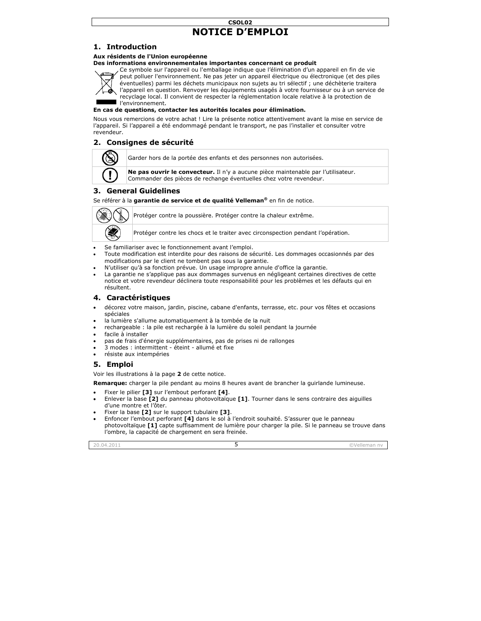## **NOT TICE D'EM MPLOI CSOL02**

## **1. Intr roduction**

#### **Aux résid dents de l'Union n européenne**

#### **Des infor rmations enviro onnementales i importantes co oncernant ce pr roduit**



Ce symbole sur l'appareil ou l'emballage indique que l'élimination d'un appareil en fin de vie peut polluer l'environnement. Ne pas jeter un appareil électrique ou électronique (et des piles éventuelles) parmi les déchets municipaux non sujets au tri sélectif ; une déchèterie traitera l'appareil en question. Renvoyer les équipements usagés à votre fournisseur ou à un service de recyclage local. Il convient de respecter la réglementation locale relative à la protection de l l'environnement. .

#### **En cas de questions, contacter les autorités locales pour élimination.**

Nous vous remercions de votre achat ! Lire la présente notice attentivement avant la mise en service de l'appareil. Si l'appareil a été endommagé pendant le transport, ne pas l'installer et consulter votre revendeur r.

## **2. Con nsignes de s sécurité**



Garder hors de la portée des enfants et des personnes non autorisées.

**Ne pas ouvrir le convecteur.** Il n'y a aucune pièce maintenable par l'utilisateur. Commander des pièces de rechange éventuelles chez votre revendeur.

## **3. Gen neral Guideli ines**

Se référer à la garantie de service et de qualité Velleman® en fin de notice.



Protéger contre la poussière. Protéger contre la chaleur extrême.

Protéger contre les chocs et le traiter avec circonspection pendant l'opération.

- Se familiariser avec le fonctionnement avant l'emploi.
- Toute modification est interdite pour des raisons de sécurité. Les dommages occasionnés par des modifications par le client ne tombent pas sous la garantie.
- N'utiliser qu'à sa fonction prévue. Un usage impropre annule d'office la garantie.
- La garantie ne s'applique pas aux dommages survenus en négligeant certaines directives de cette notice et votre revendeur déclinera toute responsabilité pour les problèmes et les défauts qui en résult ent.

#### **4. Cara actéristique es**

- décorez votre maison, jardin, piscine, cabane d'enfants, terrasse, etc. pour vos fêtes et occasions spécia ales
- la lumière s'allume automatiquement à la tombée de la nuit
- rechargeable : la pile est rechargée à la lumière du soleil pendant la journée
- facile à installer
- pas de frais d'énergie supplémentaires, pas de prises ni de rallonges
- 3 modes : intermittent éteint allumé et fixe
- résiste aux intempéries

#### **5. Emp ploi**

Voir les illustrations à la page 2 de cette notice.

**Remarque:** charger la pile pendant au moins 8 heures avant de brancher la guirlande lumineuse.

- Fixer le pilier **[3]** sur l l'embout perfora nt **[4]**.
- Enlever la base [2] du panneau photovoltaïque [1]. Tourner dans le sens contraire des aiguilles d'une montre et l'ôter .
- Fixer la base **[2]** sur le support tubulaire **[3]**.
- Enfoncer l'embout perforant **[4]** dans le sol à l'endroit souhaité. S'assurer que le panneau photovoltaïque **[1]** capte suffisamment de lumière pour charger la pile. Si le panneau se trouve dans l'ombre, la capacité de chargement en sera freinée.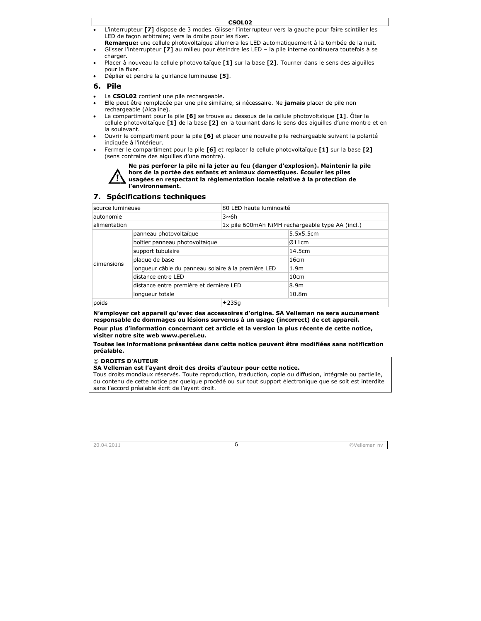- CSOL<sub>02</sub> L'interrupteur [7] dispose de 3 modes. Glisser l'interrupteur vers la gauche pour faire scintiller les LED de façon arbitraire; vers la droite pour les fixer.
- Remarque: une cellule photovoltaïque allumera les LED automatiquement à la tombée de la nuit.
- Glisser l'interrupteur [7] au milieu pour éteindre les LED la pile interne continuera toutefois à se charger.
- Placer à nouveau la cellule photovoltaïque [1] sur la base [2]. Tourner dans le sens des ajquilles pour la fixer.
- Déplier et pendre la quirlande lumineuse [5].

## 6. Pile

- La CSOL02 contient une pile rechargeable.
- Elle peut être remplacée par une pile similaire, si nécessaire. Ne **jamais** placer de pile non rechargeable (Alcaline).
- Le compartiment pour la pile [6] se trouve au dessous de la cellule photovoltaïque [1]. Ôter la cellule photovoltaïque [1] de la base [2] en la tournant dans le sens des aiquilles d'une montre et en la soulevant.
- Ouvrir le compartiment pour la pile [6] et placer une nouvelle pile rechargeable suivant la polarité indiquée à l'intérieur.
- Fermer le compartiment pour la pile [6] et replacer la cellule photovoltaïque [1] sur la base [2] (sens contraire des ajouilles d'une montre).

Ne pas perforer la pile ni la jeter au feu (danger d'explosion). Maintenir la pile hors de la portée des enfants et animaux domestiques. Écouler les piles usagées en respectant la réglementation locale relative à la protection de l'environnement.

#### 7. Spécifications techniques

| source lumineuse |                                                     | 80 LED haute luminosité                           |                  |
|------------------|-----------------------------------------------------|---------------------------------------------------|------------------|
| autonomie        |                                                     | $3 \sim 6h$                                       |                  |
| alimentation     |                                                     | 1x pile 600 mAh NiMH rechargeable type AA (incl.) |                  |
| dimensions       | panneau photovoltaïque                              |                                                   | 5.5x5.5cm        |
|                  | boîtier panneau photovoltaïque                      |                                                   | Ø11cm            |
|                  | support tubulaire                                   |                                                   | 14.5cm           |
|                  | plaque de base                                      |                                                   | 16cm             |
|                  | longueur câble du panneau solaire à la première LED |                                                   | 1.9 <sub>m</sub> |
|                  | distance entre LED                                  |                                                   | 10cm             |
|                  | distance entre première et dernière LED             |                                                   | 8.9m             |
|                  | longueur totale                                     |                                                   | 10.8m            |
| poids            |                                                     | ±235a                                             |                  |

N'employer cet appareil qu'avec des accessoires d'origine. SA Velleman ne sera aucunement responsable de dommages ou lésions survenus à un usage (incorrect) de cet appareil.

Pour plus d'information concernant cet article et la version la plus récente de cette notice, visiter notre site web www.perel.eu.

#### Toutes les informations présentées dans cette notice peuvent être modifiées sans notification préalable.

© DROITS D'AUTEUR

SA Velleman est l'avant droit des droits d'auteur pour cette notice.

Tous droits mondiaux réservés. Toute reproduction, traduction, copie ou diffusion, intégrale ou partielle, du contenu de cette notice par quelque procédé ou sur tout support électronique que se soit est interdite sans l'accord préalable écrit de l'avant droit.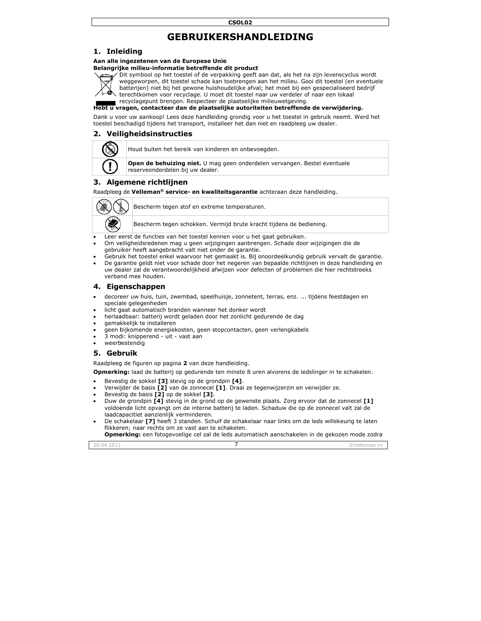# **GEBRUIK KERSHAN NDLEIDIN NG**

## **1. Inle eiding**

#### **Aan alle ingezetenen va an de Europese e Unie**  Belangrijke milieu-informatie betreffende dit product



D Dit symbool op h het toestel of de verpakking geeft t aan dat, als het t na zijn levensc yclus wordt w weggeworpen, d it toestel schade kan toebrengen n aan het milieu. Gooi dit toestel (en eventuele batterijen) niet bij het gewone huishoudelijke afval; het moet bij een gespecialiseerd bedrijf terechtkomen voor recyclage. U moet dit toestel naar uw verdeler of naar een lokaal

recyclagepunt brengen. Respecteer de plaatselijke milieuwetgeving.

Hebt u vragen, contacteer dan de plaatselijke autoriteiten betreffende de verwijdering.

Dank u voor uw aankoop! Lees deze handleiding grondig voor u het toestel in gebruik neemt. Werd het toestel beschadigd tijdens het transport, installeer het dan niet en raadpleeg uw dealer.

## **2. Veil ligheidsinst ructies**



Houd buiten het bereik van kinderen en onbevoegden.

**Open de behuizing niet.** U mag geen onderdelen vervangen. Bestel eventuele reserveonderdelen bij uw dealer.

## **3. Alge emene richt tlijnen**

Raadpleeg g de **Velleman® service- en kw waliteitsgarantie e** achteraan deze e handleiding.



Bescherm tegen stof en extreme temperaturen.

Bescherm tegen schokken. Vermijd brute kracht tijdens de bediening.

- Leer eerst de functies van het toestel kennen voor u het gaat gebruiken.
- Om veiligheidsredenen mag u geen wijzigingen aanbrengen. Schade door wijzigingen die de gebruiker heeft aangebracht valt niet onder de garantie.
- Gebruik het toestel enkel waarvoor het gemaakt is. Bij onoordeelkundig gebruik vervalt de garantie.
- De garantie geldt niet voor schade door het negeren van bepaalde richtlijnen in deze handleiding en uw dealer zal de verantwoordelijkheid afwijzen voor defecten of problemen die hier rechtstreeks verba nd mee houden.

#### **4. Eige enschappen**

- decoreer uw huis, tuin, zwembad, speelhuisje, zonnetent, terras, enz. ... tijdens feestdagen en specia ale gelegenheden
- speciale gelegenheden<br>• licht gaat automatisch branden wanneer het donker wordt
- herlaadbaar: batterij wordt geladen door het zonlicht gedurende de dag
- gemakkelijk te installeren
- geen bijkomende energiekosten, geen stopcontacten, geen verlengkabels
- 3 modi: knipperend uit vast aan
- weerbestendig

#### **5. Geb bruik**

Raadpleeg de figuren op pagina 2 van deze handleiding.

**Opmerking:** laad de batterij op gedurende ten minste 8 uren alvorens de ledslinger in te schakelen.

- Beves stig de sokkel **[3 ]** stevig op de gr rondpin **[4]**.
- Verwijder de basis [2] van de zonnecel [1]. Draai ze tegenwijzerzin en verwijder ze.
- Beves stig de basis **[2]** op de sokkel **[3 ]**.
- Duw de grondpin [4] stevig in de grond op de gewenste plaats. Zorg ervoor dat de zonnecel [1] voldoende licht opvangt om de interne batterij te laden. Schaduw die op de zonnecel valt zal de laadcapacitiet aanzienlijk verminderen.
- De schakelaar **[7]** heeft 3 standen. Schuif de schakelaar naar links om de leds willekeurig te laten flikkeren; naar rechts om ze vast aan te schakelen.

**Opmerking:** een fotogevoelige cel zal de leds automatisch aanschakelen in de gekozen mode zodra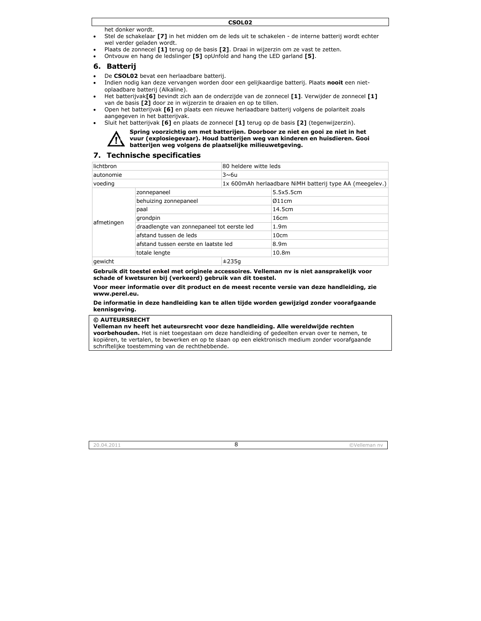het do onker wordt.

- Stel de schakelaar **[7]** in het midden om de leds uit te schakelen de interne batterij wordt echter wel verder geladen wordt.
- Plaats de zonnecel **[1]** terug op de basis **[2]**. Draai in wijzerzin om ze vast te zetten.
- Ontvouw en hang de ledslinger **[5]** opUnfold and hang the LED garland **[5]**.

#### **6. Batt terij**

- De CSOLO2 bevat een herlaadbare batterij.
- Indien nodig kan deze vervangen worden door een gelijkaardige batterij. Plaats **nooit** een nietoplaad dbare batterij (A Alkaline).
- Het batterijvak**[6]** bevindt zich aan de onderzijde van de zonnecel **[1]**. Verwijder de zonnecel **[1]** van de basis [2] door ze in wijzerzin te draaien en op te tillen.
- Open het batterijvak [6] en plaats een nieuwe herlaadbare batterij volgens de polariteit zoals aangegeven in het batterijvak.
- Sluit h het batterijvak **[6 6]** en plaats de z zonnecel **[1]** ter ug op de basis **[ 2]** (tegenwijzerz zin).



Spring voorzichtig om met batterijen. Doorboor ze niet en gooi ze niet in het vuur (explosiegevaar). Houd batterijen weg van kinderen en huisdieren. Gooi **batterijen w weg volgens de plaatselijke m ilieuwetgeving g.** 

#### **7. Tec hnische spe ecificaties**

| lichtbron<br>80 heldere witte leds |                                            |       |                                                         |  |
|------------------------------------|--------------------------------------------|-------|---------------------------------------------------------|--|
| $3\nsim$ 6u<br>autonomie           |                                            |       |                                                         |  |
| voeding                            |                                            |       | 1x 600mAh herlaadbare NiMH batterij type AA (meegelev.) |  |
| afmetingen                         | zonnepaneel                                |       | 5.5x5.5cm                                               |  |
|                                    | behuizing zonnepaneel                      |       | Ø11cm                                                   |  |
|                                    | paal                                       |       | 14.5cm                                                  |  |
|                                    | grondpin                                   |       | 16cm                                                    |  |
|                                    | draadlengte van zonnepaneel tot eerste led |       | 1.9 <sub>m</sub>                                        |  |
|                                    | afstand tussen de leds                     |       | 10cm                                                    |  |
|                                    | afstand tussen eerste en laatste led       |       | 8.9m                                                    |  |
|                                    | totale lengte                              |       | 10.8 <sub>m</sub>                                       |  |
| aewicht                            |                                            | ±235a |                                                         |  |

**Gebruik d dit toestel enke el met originele e accessoires. V Velleman nv is niet aansprake elijk voor schade o of kwetsuren bij j (verkeerd) ge ebruik van dit t toestel.** 

**Voor mee er informatie o ver dit product t en de meest r ecente versie v van deze handl eiding, zie www.per rel.eu.** 

**De inform matie in deze h andleiding kan n te allen tijde w worden gewijzi igd zonder voo rafgaande kennisge eving.** 

#### **© AUTEU URSRECHT**

Velleman nv heeft het auteursrecht voor deze handleiding. Alle wereldwijde rechten

**voorbehouden.** Het is niet toegestaan om deze handleiding of gedeelten ervan over te nemen, te kopiëren, te vertalen, te bewerken en op te slaan op een elektronisch medium zonder voorafgaande schriftelijke toestemming van de rechthebbende.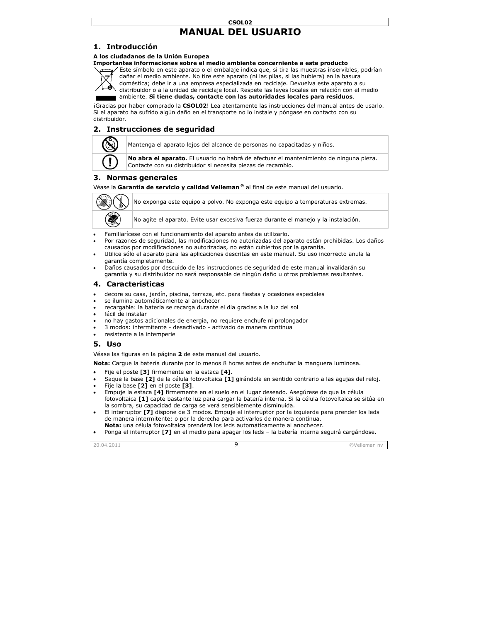## **MANU UAL DEL U USUARIO CSOL02**

## **1. Intr roducción**

#### **A los ciud dadanos de la U Unión Europea**

# **MANUAL DEL USUARIO**<br> **1. Introducción<br>
A los ciudadanos de la Unión Europea<br>
Importantes informaciones sobre el medio ambiente concerniente a este producto**



Este símbolo en este aparato o el embalaje indica que, si tira las muestras inservibles, podrían dañar el medio ambiente. No tire este aparato (ni las pilas, si las hubiera) en la basura doméstica; debe ir a una empresa especializada en reciclaje. Devuelva este aparato a su distribuidor o a la unidad de reciclaje local. Respete las leyes locales en relación con el medio

ambiente. Si tiene dudas, contacte con las autoridades locales para residuos.

iGracias por haber comprado la CSOL02! Lea atentamente las instrucciones del manual antes de usarlo. Si el aparato ha sufrido algún daño en el transporte no lo instale y póngase en contacto con su distribuidor.

## **2. Instrucciones de seguridad**



Mantenga el a aparato lejos del alcance de perso onas no capacita adas y niños.

**No abra el aparato.** El usuario no habrá de efectuar el mantenimiento de ninguna pieza. Contacte con su distribuidor s i necesita piezas s de recambio.

## **3. Normas generales**

Véase la Garantía de servicio y calidad Velleman ® al final de este manual del usuario.



No exponga este equipo a polvo. No exponga este equipo a temperaturas extremas.

No agite el aparato. Evite usar excesiva fuerza durante el manejo y la instalación.

- Familiarícese con el funcionamiento del aparato antes de utilizarlo.
- Por razones de seguridad, las modificaciones no autorizadas del aparato están prohibidas. Los daños causados por modificaciones no autorizadas, no están cubiertos por la garantía.
- Utilice sólo el aparato para las aplicaciones descritas en este manual. Su uso incorrecto anula la garantía completamente.
- Daños causados por descuido de las instrucciones de seguridad de este manual invalidarán su garan tía y su distribui dor no será resp onsable de ningú ún daño u otros problemas result tantes.

## **4. Cara acterísticas**

- decore su casa, jardín, piscina, terraza, etc. para fiestas y ocasiones especiales
- se ilumina automáticamente al anochecer
- recargable: la batería se recarga durante el día gracias a la luz del sol
- fácil d de instalar
- no hay gastos adicionales de energía, no requiere enchufe ni prolongador
- 3 modos: intermitente desactivado activado de manera continua
- resistente a la intemperie

#### **5. Uso o**

Véase las figuras en la página 2 de este manual del usuario.

**Nota:** Cargue la batería durante por lo menos 8 horas antes de enchufar la manguera luminosa.

- Fije el poste **[3]** firmemente en la estaca **[4]**.
- Saque la base **[2]** de la célula fotovoltaica **[1]** girándola en sentido contrario a las agujas del reloj.
- Fije la a base **[2]** en el poste **[3]**.
- Empuje la estaca [4] firmemente en el suelo en el lugar deseado. Asegúrese de que la célula fotovoltaica **[1]** capte bastante luz para cargar la batería interna. Si la célula fotovoltaica se sitúa en la sombra, su capacidad de carga se verá sensiblemente disminuida.
- El interruptor **[7]** dispone de 3 modos. Empuje el interruptor por la izquierda para prender los leds de manera intermitente; o por la derecha para activarlos de manera continua. **Nota:** una célula fotovoltaica prenderá los leds automáticamente al anochecer.
- Ponga el interruptor **[7]** en el medio para apagar los leds la batería interna seguirá cargándose.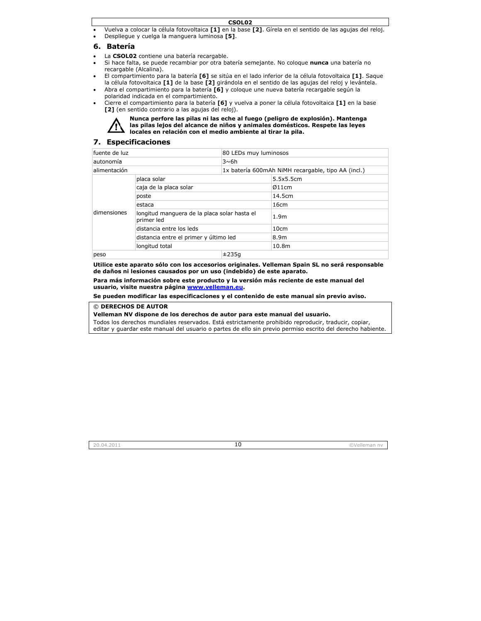- Vuelva a colocar la célula fotovoltaica **[1]** en la base **[2]**. Gírela en el sentido de las agujas del reloj.
- Despli iegue y cuelga la a manguera lumi nosa **[5]**.

## **6. Bate ería**

- La CSOLO2 contiene una batería recargable.
- Si hace falta, se puede recambiar por otra batería semejante. No coloque **nunca** una batería no recarg gable (Alcalina).
- El compartimiento para la batería **[6]** se sitúa en el lado inferior de la célula fotovoltaica **[1]**. Saque la célula fotovoltaica **[1]** de la base **[2]** girándola en el sentido de las agujas del reloj y levántela.
- Abra el compartimiento para la batería **[6]** y coloque une nueva batería recargable según la polarid dad indicada en el compartimien to.
- Cierre el compartimiento para la batería **[6]** y vuelva a poner la célula fotovoltaica **[1]** en la base [2] (en sentido contrario a las agujas del reloj).



**Nunca perfo ore las pilas ni las eche al fueg go (peligro de explosión). Ma antenga**  las pilas lejos del alcance de niños y animales domésticos. Respete las leyes **locales en r elación con el m medio ambient te al tirar la pila a.** 

## **7. Esp ecificacione es**

| fuente de luz<br>80 LEDs muy luminosos |                                                            |       |                                                    |  |
|----------------------------------------|------------------------------------------------------------|-------|----------------------------------------------------|--|
| autonomía<br>$3\nsim$ 6h               |                                                            |       |                                                    |  |
| alimentación                           |                                                            |       | 1x batería 600mAh NiMH recargable, tipo AA (incl.) |  |
| dimensiones                            | placa solar                                                |       | 5.5x5.5cm                                          |  |
|                                        | caja de la placa solar                                     |       | Ø11cm                                              |  |
|                                        | poste                                                      |       | 14.5cm                                             |  |
|                                        | estaca                                                     |       | 16cm                                               |  |
|                                        | longitud manguera de la placa solar hasta el<br>primer led |       | 1.9 <sub>m</sub>                                   |  |
|                                        | distancia entre los leds                                   |       | 10cm                                               |  |
|                                        | distancia entre el primer y último led                     |       | 8.9m                                               |  |
|                                        | longitud total                                             |       | 10.8m                                              |  |
| peso                                   |                                                            | ±235a |                                                    |  |

**Utilice es ste aparato sólo o con los acces sorios originale s. Velleman Sp pain SL no será responsable**  de daños ni lesiones causados por un uso (indebido) de este aparato.

Para más información sobre este producto y la versión más reciente de este manual del **usuario, v visite nuestra p página www.ve elleman.eu.** 

Se pueden modificar las especificaciones y el contenido de este manual sin previo aviso.

#### $@$  **DERECHOS DE AUTOR**

© DERECHOS DE AUTOR<br>Velleman NV dispone de los derechos de autor para este manual del usuario.

Todos los derechos mundiales reservados. Está estrictamente prohibido reproducir, traducir, copiar, editar y guardar este manual del usuario o partes de ello sin previo permiso escrito del derecho habiente.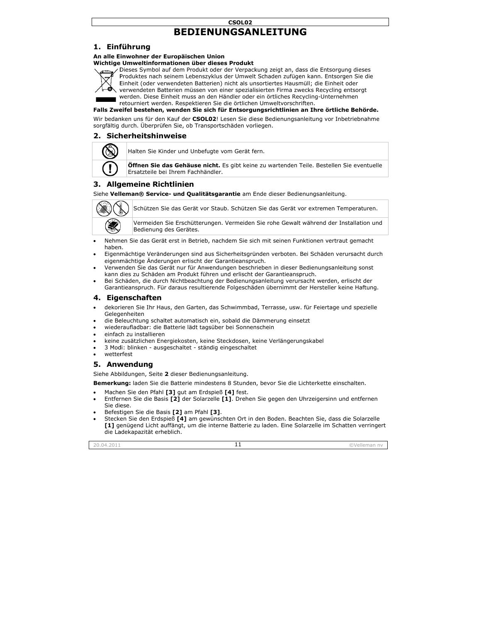## CSOL02 **BEDIENUNGSANLEITUNG**

## 1. Einführung

## An alle Einwohner der Europäischen Union

#### Wichtige Umweltinformationen über dieses Produkt



Dieses Symbol auf dem Produkt oder der Verpackung zeigt an, dass die Entsorgung dieses Produktes nach seinem Lebenszyklus der Umwelt Schaden zufügen kann. Entsorgen Sie die Einheit (oder verwendeten Batterien) nicht als unsortiertes Hausmüll; die Einheit oder verwendeten Batterien müssen von einer spezialisierten Firma zwecks Recycling entsorgt werden. Diese Einheit muss an den Händler oder ein örtliches Recycling-Unternehmen retourniert werden. Respektieren Sie die örtlichen Umweltvorschriften.

Falls Zweifel bestehen, wenden Sie sich für Entsorgungsrichtlinien an Ihre örtliche Behörde.

Wir bedanken uns für den Kauf der CSOL02! Lesen Sie diese Bedienungsanleitung vor Inbetriebnahme sorgfältig durch. Überprüfen Sie, ob Transportschäden vorliegen.

## 2. Sicherheitshinweise



Halten Sie Kinder und Unbefugte vom Gerät fern.

**Öffnen Sie das Gehäuse nicht.** Es gibt keine zu wartenden Teile. Bestellen Sie eventuelle Ersatzteile bei Ihrem Fachhändler.

## 3. Allgemeine Richtlinien

Siehe Velleman® Service- und Oualitätsgarantie am Ende dieser Bedienungsanleitung.



Schützen Sie das Gerät vor Staub. Schützen Sie das Gerät vor extremen Temperaturen.

Vermeiden Sie Erschütterungen. Vermeiden Sie rohe Gewalt während der Installation und Bedienung des Gerätes.

- Nehmen Sie das Gerät erst in Betrieb, nachdem Sie sich mit seinen Funktionen vertraut gemacht hahen.
- Eigenmächtige Veränderungen sind aus Sicherheitsgründen verboten. Bei Schäden verursacht durch eigenmächtige Änderungen erlischt der Garantieanspruch.
- Verwenden Sie das Gerät nur für Anwendungen beschrieben in dieser Bedienungsanleitung sonst kann dies zu Schäden am Produkt führen und erlischt der Garantieanspruch.
- Bei Schäden, die durch Nichtbeachtung der Bedienungsanleitung verursacht werden, erlischt der Garantieanspruch. Für daraus resultierende Folgeschäden übernimmt der Hersteller keine Haftung.

#### 4. Eigenschaften

- dekorieren Sie Ihr Haus, den Garten, das Schwimmbad, Terrasse, usw. für Feiertage und spezielle Gelegenheiten
- die Beleuchtung schaltet automatisch ein, sobald die Dämmerung einsetzt
- wiederaufladbar: die Batterie lädt tagsüber bei Sonnenschein
- einfach zu installieren
- keine zusätzlichen Energiekosten, keine Steckdosen, keine Verlängerungskabel
- 3 Modi: blinken ausgeschaltet ständig eingeschaltet
- wetterfest

## 5. Anwendung

Siehe Abbildungen, Seite 2 dieser Bedienungsanleitung.

Bemerkung: laden Sie die Batterie mindestens 8 Stunden, bevor Sie die Lichterkette einschalten.

- Machen Sie den Pfahl [3] gut am Erdspieß [4] fest.
- Entfernen Sie die Basis [2] der Solarzelle [1]. Drehen Sie gegen den Uhrzeigersinn und entfernen Sie diese.
- Befestigen Sie die Basis [2] am Pfahl [3].
- Stecken Sie den Erdspieß [4] am gewünschten Ort in den Boden. Beachten Sie, dass die Solarzelle [1] genügend Licht auffängt, um die interne Batterie zu laden. Eine Solarzelle im Schatten verringert die Ladekapazität erheblich.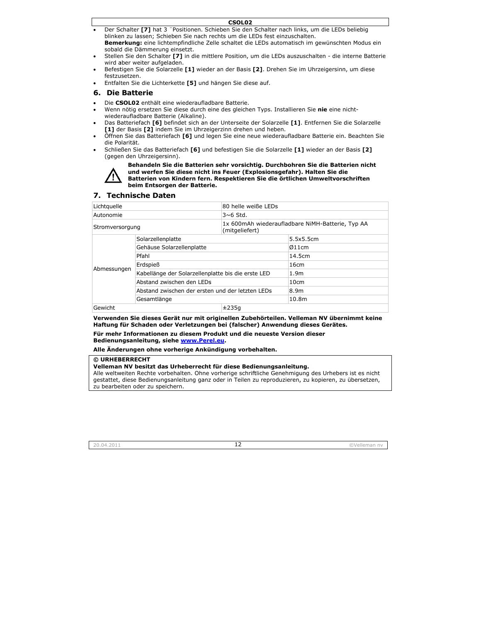- Der Schalter [7] hat 3 "Positionen. Schieben Sie den Schalter nach links, um die LEDs beliebig blinken zu lassen; Schieben Sie nach rechts um die LEDs fest einzuschalten. Bemerkung: eine lichtempfindliche Zelle schaltet die LEDs automatisch im gewünschten Modus ein sobald die Dämmerung einsetzt.
- Stellen Sie den Schalter [7] in die mittlere Position, um die LEDs auszuschalten die interne Batterie wird aber weiter aufgeladen.
- Befestigen Sie die Solarzelle [1] wieder an der Basis [2]. Drehen Sie im Uhrzeigersinn, um diese festzusetzen.
- Entfalten Sie die Lichterkette [5] und hängen Sie diese auf.

#### 6. Die Batterie

- Die CSOL02 enthält eine wiederaufladbare Batterie.
- Wenn nötig ersetzen Sie diese durch eine des gleichen Typs. Installieren Sie nie eine nichtwiederaufladbare Batterie (Alkaline).
- Das Batteriefach [6] befindet sich an der Unterseite der Solarzelle [1]. Entfernen Sie die Solarzelle [1] der Basis [2] indem Sie im Uhrzeigerzinn drehen und heben.
- Öffnen Sie das Batteriefach [6] und legen Sie eine neue wiederaufladbare Batterie ein. Beachten Sie die Polarität.
- Schließen Sie das Batteriefach [6] und befestigen Sie die Solarzelle [1] wieder an der Basis [2] (gegen den Uhrzeigersinn).



Behandeln Sie die Batterien sehr vorsichtig. Durchbohren Sie die Batterien nicht und werfen Sie diese nicht ins Feuer (Explosionsgefahr). Halten Sie die Batterien von Kindern fern. Respektieren Sie die örtlichen Umweltvorschriften beim Entsorgen der Batterie.

#### 7. Technische Daten

| Lichtquelle     |                                                    | 80 helle weiße LEDs                                                |                  |
|-----------------|----------------------------------------------------|--------------------------------------------------------------------|------------------|
| Autonomie       |                                                    | $3~6$ Std.                                                         |                  |
| Stromversorgung |                                                    | 1x 600mAh wiederaufladbare NiMH-Batterie, Typ AA<br>(mitgeliefert) |                  |
| Abmessungen     | Solarzellenplatte                                  |                                                                    | 5.5x5.5cm        |
|                 | Gehäuse Solarzellenplatte                          |                                                                    | Ø11cm            |
|                 | Pfahl                                              |                                                                    | 14.5cm           |
|                 | Erdspieß                                           |                                                                    | 16cm             |
|                 | Kabellänge der Solarzellenplatte bis die erste LED |                                                                    | 1.9 <sub>m</sub> |
|                 | Abstand zwischen den LEDs                          |                                                                    | 10cm             |
|                 | Abstand zwischen der ersten und der letzten LEDs   |                                                                    | 8.9m             |
|                 | Gesamtlänge                                        |                                                                    | 10.8m            |
| Gewicht         |                                                    | ±235a                                                              |                  |

Verwenden Sie dieses Gerät nur mit originellen Zubehörteilen. Velleman NV übernimmt keine Haftung für Schaden oder Verletzungen bei (falscher) Anwendung dieses Gerätes.

Für mehr Informationen zu diesem Produkt und die neueste Version dieser Bedienungsanleitung, siehe www.Perel.eu.

Alle Änderungen ohne vorherige Ankündigung vorbehalten.

#### © URHEBERRECHT

Velleman NV besitzt das Urheberrecht für diese Bedienungsanleitung.

Alle weltweiten Rechte vorbehalten. Ohne vorherige schriftliche Genehmigung des Urhebers ist es nicht gestattet, diese Bedienungsanleitung ganz oder in Teilen zu reproduzieren, zu kopieren, zu übersetzen, zu bearbeiten oder zu speichern.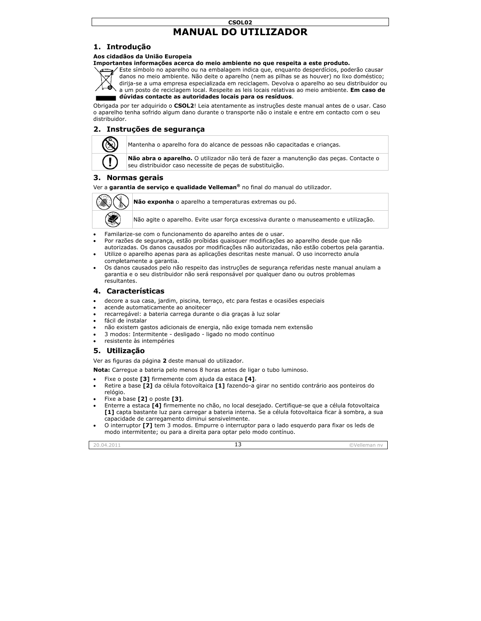## **MANUAL DO UTILIZADOR CSOL02**

## **1. Intr rodução**

#### **Aos cidad dãos da União E Europeia**

#### Importantes informações acerca do meio ambiente no que respeita a este produto.



Este símbolo no aparelho ou na embalagem indica que, enquanto desperdícios, poderão causar danos no meio ambiente. Não deite o aparelho (nem as pilhas se as houver) no lixo doméstico; dirija-se a uma empresa especializada em reciclagem. Devolva o aparelho ao seu distribuidor ou a um posto de reciclagem local. Respeite as leis locais relativas ao meio ambiente. **Em caso de** l

**d dúvidas contac cte as autoridad des locais para os resíduos**.

Obrigada por ter adquirido o **CSOL2**! Leia atentamente as instruções deste manual antes de o usar. Caso o aparelho tenha sofrido algum dano durante o transporte não o instale e entre em contacto com o seu distribuidor.

## **2. Inst truções de s segurança**



Mantenha o a parelho fora do a alcance de pesso oas não capacitad das e crianças.

**Não abra o aparelho.** O utilizador não terá de fazer a manutenção das peças. Contacte o seu distribuidor caso necessite de peças de substituição.

#### **3. Nor rmas gerais**

Ver a garantia de serviço e qualidade Velleman® no final do manual do utilizador.



**Não exponha** o aparelho a temperaturas extremas ou pó.

Não agite o aparelho. Evite usar força exces ssiva durante o m manuseamento e utilização.

- Familarize-se com o funcionamento do aparelho antes de o usar.
- Por razões de segurança, estão proíbidas quaisquer modificações ao aparelho desde que não autorizadas. Os danos causados por modificações não autorizadas, não estão cobertos pela garantia.
- Utilize o aparelho apenas para as aplicações descritas neste manual. O uso incorrecto anula completamente a garantia.
- Os danos causados pelo não respeito das instruções de segurança referidas neste manual anulam a garantia e o seu distribuidor não será responsável por qualquer dano ou outros problemas result antes.

#### **4. Cara acterísticas**

- decore a sua casa, jardim, piscina, terraço, etc para festas e ocasiões especiais
- acende automaticamente ao anoitecer
- acende automaticamente ao anoitecer<br>• recarregável: a bateria carrega durante o dia graças à luz solar
- fácil d de instalar
- não existem gastos adicionais de energia, não exige tomada nem extensão
- 3 modos: Intermitente desligado ligado no modo contínuo
- resistente às intempéries

#### **5. Util ização**

Ver as figuras da página 2 deste manual do utilizador.

**Nota:** Carregue a bateria pelo menos 8 horas antes de ligar o tubo luminoso.

- Fixe o poste [3] firmemente com ajuda da estaca [4].
- Retire a base **[2]** da célula fotovoltaica **[1]** fazendo-a girar no sentido contrário aos ponteiros do relógio.
- Fixe a base **[2]** o poste **[3]**.
- Enterre a estaca [4] firmemente no chão, no local desejado. Certifique-se que a célula fotovoltaica **[1]** capta bastante luz para carregar a bateria interna. Se a célula fotovoltaica ficar à sombra, a sua capacidade de carregamento diminui sensivelmente.
- O interruptor **[7]** tem 3 modos. Empurre o interruptor para o lado esquerdo para fixar os leds de modo intermitente; ou u para a direita p para optar pelo m modo contínuo.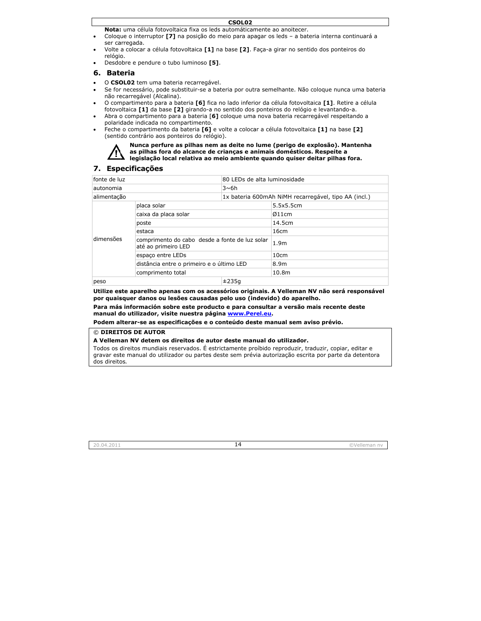**Nota:** uma célula fotovoltaica fixa os leds automáticamente ao anoitecer.

- Coloque o interruptor **[7]** na posição do meio para apagar os leds a bateria interna continuará a ser ca arregada.
- Volte a colocar a célula fotovoltaica **[1]** na base **[2]**. Faça-a girar no sentido dos ponteiros do relógio.
- Desdobre e pendure o tubo luminoso [5].

#### **6. Bate eria**

- O CSOLO2 tem uma bateria recarregável.
- Se for necessário, pode substituir-se a bateria por outra semelhante. Não coloque nunca uma bateria não recarregável (Alcalina).
- O com mpartimento para a a bateria **[6]** fi ca no lado inferi or da célula foto voltaica **[1]**. Ret tire a célula fotovoltaica **[1]** da base **[2]** girando-a no sentido dos ponteiros do relógio e levantando-a.
- Abra o compartimento para a bateria [6] coloque uma nova bateria recarregável respeitando a polaridade indicada no compartimento.
- Feche o compartimento da bateria **[6]** e volte a colocar a célula fotovoltaica **[1]** na base **[2]** (senti do contrário aos ponteiros do rel ógio).



## **7. Esp ecificações**

| 80 LEDs de alta luminosidade<br>fonte de luz |                                                                       |       |                                                      |  |
|----------------------------------------------|-----------------------------------------------------------------------|-------|------------------------------------------------------|--|
| $3\nu$ 6h<br>autonomia                       |                                                                       |       |                                                      |  |
| alimentação                                  |                                                                       |       | 1x bateria 600mAh NiMH recarregável, tipo AA (incl.) |  |
| dimensões                                    | placa solar                                                           |       | 5.5x5.5cm                                            |  |
|                                              | caixa da placa solar                                                  |       | Ø11cm                                                |  |
|                                              | poste                                                                 |       | 14.5cm                                               |  |
|                                              | estaca                                                                |       | 16cm                                                 |  |
|                                              | comprimento do cabo desde a fonte de luz solar<br>até ao primeiro LED |       | 1.9 <sub>m</sub>                                     |  |
|                                              | espaço entre LEDs                                                     |       | 10cm                                                 |  |
|                                              | distância entre o primeiro e o último LED                             |       | 8.9m                                                 |  |
|                                              | comprimento total                                                     |       | 10.8 <sub>m</sub>                                    |  |
| peso                                         |                                                                       | ±235a |                                                      |  |

**Utilize es ste aparelho ap penas com os ac cessórios origi nais. A Vellema an NV não será responsável**  por quaisquer danos ou lesões causadas pelo uso (indevido) do aparelho.

Para más información sobre este producto e para consultar a versão mais recente deste **manual d do utilizador, vi isite nuestra pá ágina www.Per rel.eu.**

**Podem a lterar-se as esp pecificações e o o conteúdo des ste manual sem m aviso prévio.** 

#### © **DIREIT TOS DE AUTOR**

© DIREITOS DE AUTOR<br>A Velleman NV detem os direitos de autor deste manual do utilizador.

Todos os direitos mundiais reservados. E estrictamente proíbido reproduzir, traduzir, copiar, editar e gravar este manual do utilizador ou partes deste sem prévia autorização escrita por parte da detentora dos direito os*.*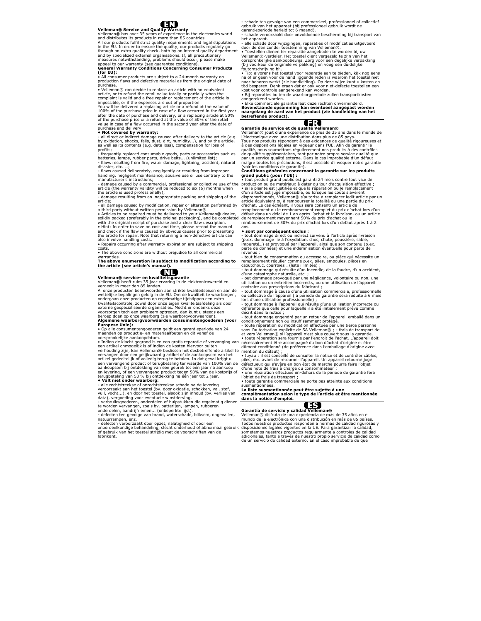#### ŒN

**Velleman® Service and Quality Warranty**  Velleman® has over 35 years of experience in the electronics world and distributes its products in more than 85 countries.

All our products fulfil strict quality requirements and legal stipulations<br>in the EU. In order to ensure the quality, our products regularly go<br>through an extra quality check, both by an internal quality department and by specialized external organisations. If, all precautionary measures notwithstanding, problems should occur, please make appeal to our warranty (see guarantee conditions).

#### **General Warranty Conditions Concerning Consumer Products (for EU):**

• All consumer products are subject to a 24-month warranty on production flaws and defective material as from the original date of purchase

• Velleman® can decide to replace an article with an equivalent article, or to refund the retail value totally or partially when the complaint is valid and a free repair or replacement of the article is impossible, or if the expenses are out of proportion.

You will be delivered a replacing article or a refund at the value of 100% of the purchase price in case of a flaw occurred in the first year after the date of purchase and delivery, or a replacing article at 50% of the purchase price or a refund at the value of 50% of the retail value in case of a flaw occurred in the second year after the date of

#### purchase and delivery. **• Not covered by warranty:**

- **Not covered by warranty.**<br>- all direct or indirect damage caused after delivery to the article (e.g. by oxidation, shocks, falls, dust, dirt, humidity...), and by the article, as well as its contents (e.g. data loss), compensation for loss of profits;

- frequently replaced consumable goods, parts or accessories such as<br>batteries, lamps, rubber parts, drive belts... (unlimited list);<br>- flaws resulting from fire, water damage, lightning, accident, natural disaster, etc.

- flaws caused deliberately, negligently or resulting from improper handling, negligent maintenance, abusive use or use contrary to the manufacturer's instructions;

- damage caused by a commercial, professional or collective use of the article (the warranty validity will be reduced to six (6) months when the article is used professionally);

- damage resulting from an inappropriate packing and shipping of the article;

- all damage caused by modification, repair or alteration performed by a third party without written permission by Velleman®.

• Articles to be repaired must be delivered to your Velleman® dealer, solidly packed (preferably in the original packaging), and be completed with the original receipt of purchase and a clear flaw description.

• Hint: In order to save on cost and time, please reread the manual and check if the flaw is caused by obvious causes prior to presenting the article for repair. Note that returning a non-defective article can also involve handling costs.

• Repairs occurring after warranty expiration are subject to shipping costs.

• The above conditions are without prejudice to all commercial warranties.

**The above enumeration is subject to modification according to the article (see article's manual).** 

## .NI

**Velleman® service- en kwaliteitsgarantie**  Velleman® heeft ruim 35 jaar ervaring in de elektronicawereld en verdeelt in meer dan 85 landen.

Al onze producten beantwoorden aan strikte kwaliteitseisen en aan de wettelijke bepalingen geldig in de EU. Om de kwaliteit te waarborgen, ondergaan onze producten op regelmatige tijdstippen een extra kwaliteitscontrole, zowel door onze eigen kwaliteitsafdeling als door externe gespecialiseerde organisaties. Mocht er ondanks deze voorzorgen toch een probleem optreden, dan kunt u steeds een<br>beroep doen op onze waarborg (zie waarborgvoorwaarden).

**Algemene waarborgvoorwaarden consumentengoederen (voor Europese Unie):** 

• Op alle consumentengoederen geldt een garantieperiode van 24 maanden op productie- en materiaalfouten en dit vanaf de oorspronkelijke aankoopdatum.

• Indien de klacht gegrond is en een gratis reparatie of vervanging van een artikel onmogelijk is of indien de kosten hiervoor buiten verhouding zijn, kan Velleman® beslissen het desbetreffende artikel te vervangen door een gelijkwaardig artikel of de aankoopsom van het artikel gedeeltelijk of volledig terug te betalen. In dat geval krijgt u een vervangend product of terugbetaling ter waarde van 100% van de aankoopsom bij ontdekking van een gebrek tot één jaar na aankoop en levering, of een vervangend product tegen 50% van de kostprijs of terugbetaling van 50 % bij ontdekking na één jaar tot 2 jaar.

**• Valt niet onder waarborg:**  - alle rechtstreekse of onrechtstreekse schade na de levering veroorzaakt aan het toestel (bv. door oxidatie, schokken, val, stof, vuil, vocht...), en door het toestel, alsook zijn inhoud (bv. verlies van data), vergoeding voor eventuele winstderving.

data), vergoeding voor eventuele winstderving. - verbruiksgoederen, onderdelen of hulpstukken die regelmatig dienen te worden vervangen, zoals bv. batterijen, lampen, rubberen onderdelen, aandrijfriemen... (onbeperkte lijst).

- defecten ten gevolge van brand, waterschade, bliksem, ongevallen, natuurrampen, enz.

- defecten veroorzaakt door opzet, nalatigheid of door een

onoordeelkundige behandeling, slecht onderhoud of abnormaal gebruik of gebruik van het toestel strijdig met de voorschriften van de fabrikant.

- schade ten gevolge van een commercieel, professioneel of collectief gebruik van het apparaat (bij professioneel gebruik wordt de garantieperiode herleid tot 6 maand).

- schade veroorzaakt door onvoldoende bescherming bij transport van het apparaat.

alle schade door wijzigingen, reparaties of modificaties uitgevoerd door derden zonder toestemming van Velleman®.

• Toestellen dienen ter reparatie aangeboden te worden bij uw Velleman®-verdeler. Het toestel dient vergezeld te zijn van het oorspronkelijke aankoopbewijs. Zorg voor een degelijke verpakking (bij voorkeur de originele verpakking) en voeg een duidelijke

foutomschrijving bij. • Tip: alvorens het toestel voor reparatie aan te bieden, kijk nog eens na of er geen voor de hand liggende reden is waarom het toestel niet naar behoren werkt (zie handleiding). Op deze wijze kunt u kosten en tijd besparen. Denk eraan dat er ook voor niet-defecte toestellen een kost voor controle aangerekend kan worden.

• Bij reparaties buiten de waarborgperiode zullen transportkosten aangerekend worden.

• Elke commerciële garantie laat deze rechten onverminderd.

**Bovenstaande opsomming kan eventueel aangepast worden naargelang de aard van het product (zie handleiding van het betreffende product).** 



**Garantie de service et de qualité Velleman®**  Velleman® jouit d'une expérience de plus de 35 ans dans le monde de l'électronique avec une distribution dans plus de 85 pays.

Tous nos produits répondent à des exigences de qualité rigoureuses et à des dispositions légales en vigueur dans l'UE. Afin de garantir la<br>qualité, nous soumettons régulièrement nos produits à des contrôles<br>de qualité supplémentaires, tant par notre propre service qualité que par un service qualité externe. Dans le cas improbable d'un défaut malgré toutes les précautions, il est possible d'invoquer notre garantie (voir les conditions de garantie).

#### **Conditions générales concernant la garantie sur les produits grand public (pour l'UE) :**

• tout produit grand public est garanti 24 mois contre tout vice de production ou de matériaux à dater du jour d'acquisition effective ; • si la plainte est justifiée et que la réparation ou le remplacement d'un article est jugé impossible, ou lorsque les coûts s'avèrent disproportionnés, Velleman® s'autorise à remplacer ledit article par un article équivalent ou à rembourser la totalité ou une partie du prix d'achat. Le cas échéant, il vous sera consenti un article de remplacement ou le remboursement complet du prix d'achat lors d'un défaut dans un délai de 1 an après l'achat et la livraison, ou un article de remplacement moyennant 50% du prix d'achat ou le remboursement de 50% du prix d'achat lors d'un défaut après 1 à 2

ans.

**• sont par conséquent exclus :**  - tout dommage direct ou indirect survenu à l'article après livraison (p.ex. dommage lié à l'oxydation, choc, chute, poussière, sable, impureté…) et provoqué par l'appareil, ainsi que son contenu (p.ex. perte de données) et une indemnisation éventuelle pour perte de revenus ;

- tout bien de consommation ou accessoire, ou pièce qui nécessite un remplacement régulier comme p.ex. piles, ampoules, pièces en

caoutchouc, courroies… (liste illimitée) ; - tout dommage qui résulte d'un incendie, de la foudre, d'un accident, d'une catastrophe naturelle, etc. ;

out dommage provoqué par une négligence, volontaire ou non, une utilisation ou un entretien incorrects, ou une utilisation de l'appareil

contraire aux prescriptions du fabricant ; - tout dommage à cause d'une utilisation commerciale, professionnelle ou collective de l'appareil (la période de garantie sera réduite à 6 mois lors d'une utilisation professionnelle) ;

- tout dommage à l'appareil qui résulte d'une utilisation incorrecte ou différente que celle pour laquelle il a été initialement prévu comme décrit dans la notice ;

- tout dommage engendré par un retour de l'appareil emballé dans un conditionnement non ou insuffisamment protégé. - toute réparation ou modification effectuée par une tierce personne

sans l'autorisation explicite de SA Velleman® ; - frais de transport de

et vers Velleman® si l'appareil n'est plus couvert sous la garantie.<br>• toute réparation sera fournie par l'endroit de l'achat. L'appareil doit<br>nécessairement être accompagné du bon d'achat d'origine et être dûment conditionné (de préférence dans l'emballage d'origine avec mention du défaut)

• tuyau : il est conseillé de consulter la notice et de contrôler câbles, piles, etc. avant de retourner l'appareil. Un appareil retourné jugé défectueux qui s'avère en bon état de marche pourra faire l'objet d'une note de frais à charge du consommateur ;

• une réparation effectuée en-dehors de la période de garantie fera l'objet de frais de transport

• toute garantie commerciale ne porte pas atteinte aux conditions susmentionnées.

**La liste susmentionnée peut être sujette à une complémentation selon le type de l'article et être mentionnée dans la notice d'emploi.** 



#### **Garantía de servicio y calidad Velleman®**  Velleman® disfruta de una experiencia de más de 35 años en el mundo de la electrónica con una distribución en más de 85 países. Todos nuestros productos responden a normas de calidad rigurosas y disposiciones legales vigentes en la UE. Para garantizar la calidad, sometemos nuestros productos regularmente a controles de calidad adicionales, tanto a través de nuestro propio servicio de calidad como de un servicio de calidad externo. En el caso improbable de que